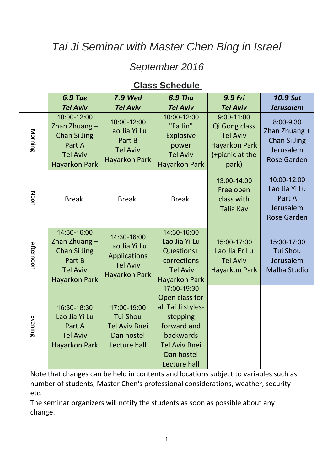# *Tai Ji Seminar with Master Chen Bing in Israel*

### *September 2016*

### **Class Schedule**

|                  | <b>6.9 Tue</b>                                                                                    | <b>7.9 Wed</b>                                                                                 | <b>8.9 Thu</b>                                                                                                                                    | 9.9 Fri                                                                                                | <b>10.9 Sat</b>                                                               |
|------------------|---------------------------------------------------------------------------------------------------|------------------------------------------------------------------------------------------------|---------------------------------------------------------------------------------------------------------------------------------------------------|--------------------------------------------------------------------------------------------------------|-------------------------------------------------------------------------------|
|                  | <b>Tel Aviv</b>                                                                                   | <b>Tel Aviv</b>                                                                                | <b>Tel Aviv</b>                                                                                                                                   | <b>Tel Aviv</b>                                                                                        | <b>Jerusalem</b>                                                              |
| Morning          | 10:00-12:00<br>Zhan Zhuang +<br>Chan Si Jing<br>Part A<br><b>Tel Aviv</b><br><b>Hayarkon Park</b> | 10:00-12:00<br>Lao Jia Yi Lu<br>Part B<br><b>Tel Aviv</b><br><b>Hayarkon Park</b>              | 10:00-12:00<br>"Fa Jin"<br><b>Explosive</b><br>power<br><b>Tel Aviv</b><br><b>Hayarkon Park</b>                                                   | $9:00 - 11:00$<br>Qi Gong class<br><b>Tel Aviv</b><br><b>Hayarkon Park</b><br>(+picnic at the<br>park) | 8:00-9:30<br>Zhan Zhuang +<br>Chan Si Jing<br>Jerusalem<br><b>Rose Garden</b> |
| Noon             | <b>Break</b>                                                                                      | <b>Break</b>                                                                                   | <b>Break</b>                                                                                                                                      | 13:00-14:00<br>Free open<br>class with<br><b>Talia Kav</b>                                             | 10:00-12:00<br>Lao Jia Yi Lu<br>Part A<br>Jerusalem<br><b>Rose Garden</b>     |
| <b>Afternoon</b> | 14:30-16:00<br>Zhan Zhuang +<br>Chan Si Jing<br>Part B<br><b>Tel Aviv</b><br><b>Hayarkon Park</b> | 14:30-16:00<br>Lao Jia Yi Lu<br><b>Applications</b><br><b>Tel Aviv</b><br><b>Hayarkon Park</b> | 14:30-16:00<br>Lao Jia Yi Lu<br>Questions+<br>corrections<br><b>Tel Aviv</b><br><b>Hayarkon Park</b>                                              | 15:00-17:00<br>Lao Jia Er Lu<br><b>Tel Aviv</b><br><b>Hayarkon Park</b>                                | 15:30-17:30<br><b>Tui Shou</b><br>Jerusalem<br><b>Malha Studio</b>            |
| Evening          | 16:30-18:30<br>Lao Jia Yi Lu<br>Part A<br><b>Tel Aviv</b><br><b>Hayarkon Park</b>                 | 17:00-19:00<br><b>Tui Shou</b><br><b>Tel Aviv Bnei</b><br>Dan hostel<br>Lecture hall           | 17:00-19:30<br>Open class for<br>all Tai Ji styles-<br>stepping<br>forward and<br>backwards<br><b>Tel Aviv Bnei</b><br>Dan hostel<br>Lecture hall |                                                                                                        |                                                                               |

Note that changes can be held in contents and locations subject to variables such as – number of students, Master Chen's professional considerations, weather, security etc.

The seminar organizers will notify the students as soon as possible about any change.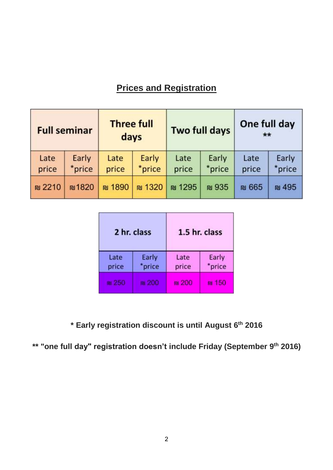## **Prices and Registration**

| <b>Full seminar</b> |                 | <b>Three full</b><br>days |                       | <b>Two full days</b> |                 | One full day<br>$**$ |                 |
|---------------------|-----------------|---------------------------|-----------------------|----------------------|-----------------|----------------------|-----------------|
| Late<br>price       | Early<br>*price | Late<br>price             | Early<br>*price       | Late<br>price        | Early<br>*price | Late<br>price        | Early<br>*price |
| <b>N</b> 2210       | <b>N1820</b>    | <b>N</b> 1890             | <b><u>nu</u></b> 1320 | <b>@1295</b>         | <b>N</b> 935    | <b>N</b> 665         | <b>ru</b> 495   |

|               | 2 hr. class     | 1.5 hr. class |                 |  |  |
|---------------|-----------------|---------------|-----------------|--|--|
| Late<br>price | Early<br>*price | Late<br>price | Early<br>*price |  |  |
| <b>MZ5</b>    |                 | <b>N</b> 200  | m 150           |  |  |

**2016 th \* Early registration discount is until August 6**

\*\* "one full day" registration doesn't include Friday (September 9<sup>th</sup> 2016)